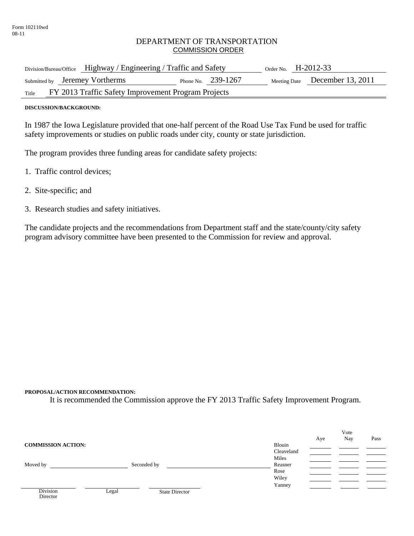## DEPARTMENT OF TRANSPORTATION COMMISSION ORDER

| Division/Bureau/Office Highway / Engineering / Traffic and Safety |                                                     |  | Order No. $H-2012-33$ |  |                                |
|-------------------------------------------------------------------|-----------------------------------------------------|--|-----------------------|--|--------------------------------|
|                                                                   | Submitted by Jeremey Vortherms                      |  | Phone No. $239-1267$  |  | Meeting Date December 13, 2011 |
| Title                                                             | FY 2013 Traffic Safety Improvement Program Projects |  |                       |  |                                |

**DISCUSSION/BACKGROUND:** 

In 1987 the Iowa Legislature provided that one-half percent of the Road Use Tax Fund be used for traffic safety improvements or studies on public roads under city, county or state jurisdiction.

The program provides three funding areas for candidate safety projects:

- 1. Traffic control devices;
- 2. Site-specific; and
- 3. Research studies and safety initiatives.

The candidate projects and the recommendations from Department staff and the state/county/city safety program advisory committee have been presented to the Commission for review and approval.

## **PROPOSAL/ACTION RECOMMENDATION:**

It is recommended the Commission approve the FY 2013 Traffic Safety Improvement Program.

|                           |       |                       |            |     | Vote |      |
|---------------------------|-------|-----------------------|------------|-----|------|------|
|                           |       |                       |            | Aye | Nay  | Pass |
| <b>COMMISSION ACTION:</b> |       |                       | Blouin     |     |      |      |
|                           |       |                       | Cleaveland |     |      |      |
|                           |       |                       | Miles      |     |      |      |
| Moved by                  |       | Seconded by           | Reasner    |     |      |      |
|                           |       |                       | Rose       |     |      |      |
|                           |       |                       | Wiley      |     |      |      |
|                           |       |                       | Yanney     |     |      |      |
| Division                  | Legal | <b>State Director</b> |            |     |      |      |
| Director                  |       |                       |            |     |      |      |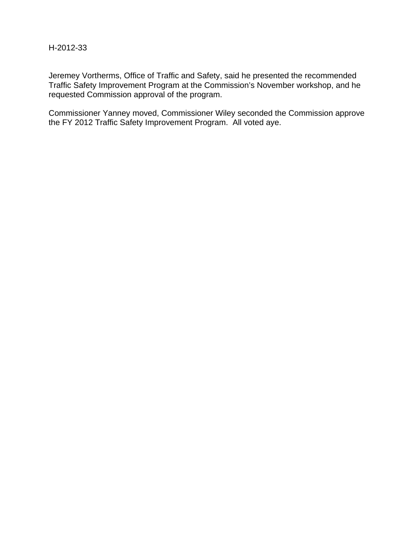## H-2012-33

Jeremey Vortherms, Office of Traffic and Safety, said he presented the recommended Traffic Safety Improvement Program at the Commission's November workshop, and he requested Commission approval of the program.

Commissioner Yanney moved, Commissioner Wiley seconded the Commission approve the FY 2012 Traffic Safety Improvement Program. All voted aye.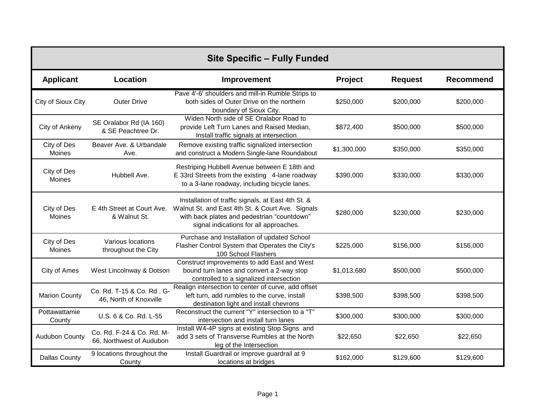| <b>Site Specific - Fully Funded</b> |                                                       |                                                                                                                                                                                                                            |             |                |                  |
|-------------------------------------|-------------------------------------------------------|----------------------------------------------------------------------------------------------------------------------------------------------------------------------------------------------------------------------------|-------------|----------------|------------------|
| <b>Applicant</b>                    | Location                                              | Improvement                                                                                                                                                                                                                | Project     | <b>Request</b> | <b>Recommend</b> |
| City of Sioux City                  | <b>Outer Drive</b>                                    | Pave 4'-6' shoulders and mill-in Rumble Strips to<br>both sides of Outer Drive on the northern<br>boundary of Sioux City.                                                                                                  | \$250,000   | \$200,000      | \$200,000        |
| City of Ankeny                      | SE Oralabor Rd (IA 160)<br>& SE Peachtree Dr.         | Widen North side of SE Oralabor Road to<br>provide Left Turn Lanes and Raised Median,<br>Install traffic signals at intersection                                                                                           | \$872,400   | \$500,000      | \$500,000        |
| City of Des<br>Moines               | Beaver Ave. & Urbandale<br>Ave.                       | Remove existing traffic signalized intersection<br>and construct a Modern Single-lane Roundabout                                                                                                                           | \$1,300,000 | \$350,000      | \$350,000        |
| City of Des<br>Moines               | Hubbell Ave.                                          | Restriping Hubbell Avenue between E 18th and<br>E 33rd Streets from the existing 4-lane roadway<br>to a 3-lane roadway, including bicycle lanes.                                                                           | \$390,000   | \$330,000      | \$330,000        |
| City of Des<br>Moines               | & Walnut St.                                          | Installation of traffic signals, at East 4th St. &<br>E 4th Street at Court Ave. Walnut St. and East 4th St. & Court Ave. Signals<br>with back plates and pedestrian "countdown"<br>signal indications for all approaches. | \$280,000   | \$230,000      | \$230,000        |
| City of Des<br>Moines               | Various locations<br>throughout the City              | Purchase and Installation of updated School<br>Flasher Control System that Operates the City's<br>100 School Flashers                                                                                                      | \$225,000   | \$156,000      | \$156,000        |
| City of Ames                        | West Lincolnway & Dotson                              | Construct improvements to add East and West<br>bound turn lanes and convert a 2-way stop<br>controlled to a signalized intersection                                                                                        | \$1,013,680 | \$500,000      | \$500,000        |
| <b>Marion County</b>                | Co. Rd. T-15 & Co. Rd. G-<br>46, North of Knoxville   | Realign intersection to center of curve, add offset<br>left turn, add rumbles to the curve, install<br>destination light and install chevrons                                                                              | \$398,500   | \$398,500      | \$398,500        |
| Pottawattamie<br>County             | U.S. 6 & Co. Rd. L-55                                 | Reconstruct the current "Y" intersection to a "T"<br>intersection and install turn lanes                                                                                                                                   | \$300,000   | \$300,000      | \$300,000        |
| <b>Audubon County</b>               | Co. Rd. F-24 & Co. Rd. M-<br>66, Northwest of Audubon | Install W4-4P signs at existing Stop Signs and<br>add 3 sets of Transverse Rumbles at the North<br>leg of the Intersection                                                                                                 | \$22,650    | \$22,650       | \$22,650         |
| <b>Dallas County</b>                | 9 locations throughout the<br>County                  | Install Guardrail or improve guardrail at 9<br>locations at bridges                                                                                                                                                        | \$162,000   | \$129,600      | \$129,600        |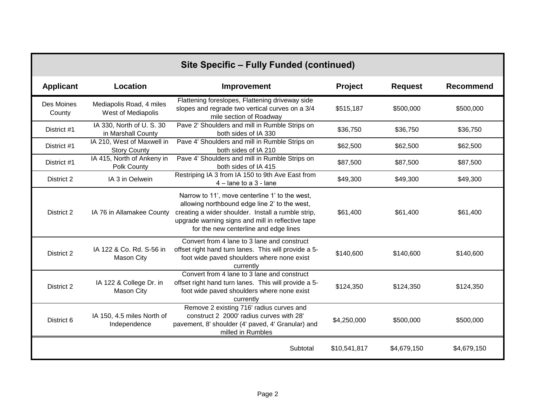| Site Specific - Fully Funded (continued) |                                                   |                                                                                                                                                                                                                                                     |              |                |                  |
|------------------------------------------|---------------------------------------------------|-----------------------------------------------------------------------------------------------------------------------------------------------------------------------------------------------------------------------------------------------------|--------------|----------------|------------------|
| <b>Applicant</b>                         | Location                                          | Improvement                                                                                                                                                                                                                                         | Project      | <b>Request</b> | <b>Recommend</b> |
| Des Moines<br>County                     | Mediapolis Road, 4 miles<br>West of Mediapolis    | Flattening foreslopes, Flattening driveway side<br>slopes and regrade two vertical curves on a 3/4<br>mile section of Roadway                                                                                                                       | \$515,187    | \$500,000      | \$500,000        |
| District #1                              | IA 330, North of U.S. 30<br>in Marshall County    | Pave 2' Shoulders and mill in Rumble Strips on<br>both sides of IA 330                                                                                                                                                                              | \$36,750     | \$36,750       | \$36,750         |
| District #1                              | IA 210, West of Maxwell in<br><b>Story County</b> | Pave 4' Shoulders and mill in Rumble Strips on<br>both sides of IA 210                                                                                                                                                                              | \$62,500     | \$62,500       | \$62,500         |
| District #1                              | IA 415, North of Ankeny in<br>Polk County         | Pave 4' Shoulders and mill in Rumble Strips on<br>both sides of IA 415                                                                                                                                                                              | \$87,500     | \$87,500       | \$87,500         |
| District 2                               | IA 3 in Oelwein                                   | Restriping IA 3 from IA 150 to 9th Ave East from<br>$4$ – lane to a 3 - lane                                                                                                                                                                        | \$49,300     | \$49,300       | \$49,300         |
| District 2                               | IA 76 in Allamakee County                         | Narrow to 11', move centerline 1' to the west,<br>allowing northbound edge line 2' to the west,<br>creating a wider shoulder. Install a rumble strip,<br>upgrade warning signs and mill in reflective tape<br>for the new centerline and edge lines | \$61,400     | \$61,400       | \$61,400         |
| District 2                               | IA 122 & Co. Rd. S-56 in<br><b>Mason City</b>     | Convert from 4 lane to 3 lane and construct<br>offset right hand turn lanes. This will provide a 5-<br>foot wide paved shoulders where none exist<br>currently                                                                                      | \$140,600    | \$140,600      | \$140,600        |
| District 2                               | IA 122 & College Dr. in<br><b>Mason City</b>      | Convert from 4 lane to 3 lane and construct<br>offset right hand turn lanes. This will provide a 5-<br>foot wide paved shoulders where none exist<br>currently                                                                                      | \$124,350    | \$124,350      | \$124,350        |
| District 6                               | IA 150, 4.5 miles North of<br>Independence        | Remove 2 existing 716' radius curves and<br>construct 2 2000' radius curves with 28'<br>pavement, 8' shoulder (4' paved, 4' Granular) and<br>milled in Rumbles                                                                                      | \$4,250,000  | \$500,000      | \$500,000        |
|                                          |                                                   | Subtotal                                                                                                                                                                                                                                            | \$10,541,817 | \$4,679,150    | \$4,679,150      |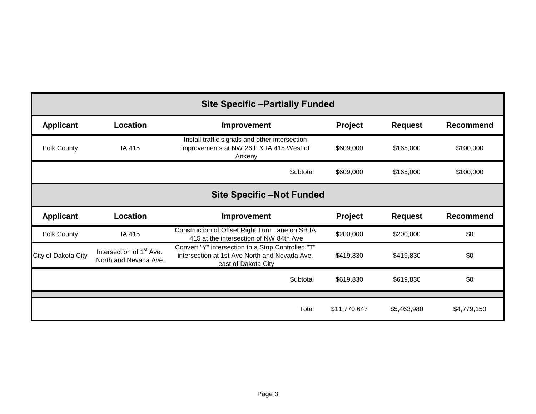| <b>Site Specific -Partially Funded</b> |                                                               |                                                                                                                           |           |                |                  |
|----------------------------------------|---------------------------------------------------------------|---------------------------------------------------------------------------------------------------------------------------|-----------|----------------|------------------|
| <b>Applicant</b>                       | Location                                                      | Improvement                                                                                                               | Project   | <b>Request</b> | <b>Recommend</b> |
| Polk County                            | IA 415                                                        | Install traffic signals and other intersection<br>improvements at NW 26th & IA 415 West of<br>Ankeny                      | \$609,000 | \$165,000      | \$100,000        |
|                                        |                                                               | Subtotal                                                                                                                  | \$609,000 | \$165,000      | \$100,000        |
|                                        |                                                               | <b>Site Specific -Not Funded</b>                                                                                          |           |                |                  |
| <b>Applicant</b>                       | Location                                                      | Improvement                                                                                                               | Project   | <b>Request</b> |                  |
|                                        |                                                               |                                                                                                                           |           |                | <b>Recommend</b> |
| Polk County                            | IA 415                                                        | Construction of Offset Right Turn Lane on SB IA<br>415 at the intersection of NW 84th Ave                                 | \$200,000 | \$200,000      | \$0              |
| City of Dakota City                    | Intersection of 1 <sup>st</sup> Ave.<br>North and Nevada Ave. | Convert "Y" intersection to a Stop Controlled "T"<br>intersection at 1st Ave North and Nevada Ave.<br>east of Dakota City | \$419,830 | \$419,830      | \$0              |
|                                        |                                                               | Subtotal                                                                                                                  | \$619,830 | \$619,830      | \$0              |
|                                        |                                                               |                                                                                                                           |           |                |                  |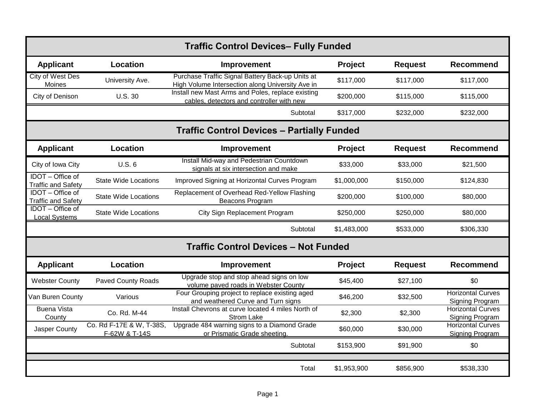| <b>Traffic Control Devices- Fully Funded</b>         |                                           |                                                                                                      |                |                |                                                    |
|------------------------------------------------------|-------------------------------------------|------------------------------------------------------------------------------------------------------|----------------|----------------|----------------------------------------------------|
| <b>Applicant</b>                                     | Location                                  | Improvement                                                                                          | Project        | <b>Request</b> | <b>Recommend</b>                                   |
| <b>City of West Des</b><br>Moines                    | University Ave.                           | Purchase Traffic Signal Battery Back-up Units at<br>High Volume Intersection along University Ave in | \$117,000      | \$117,000      | \$117,000                                          |
| City of Denison                                      | <b>U.S. 30</b>                            | Install new Mast Arms and Poles, replace existing<br>cables, detectors and controller with new       | \$200,000      | \$115,000      | \$115,000                                          |
|                                                      |                                           | Subtotal                                                                                             | \$317,000      | \$232,000      | \$232,000                                          |
|                                                      |                                           | <b>Traffic Control Devices - Partially Funded</b>                                                    |                |                |                                                    |
| <b>Applicant</b>                                     | Location                                  | Improvement                                                                                          | <b>Project</b> | <b>Request</b> | <b>Recommend</b>                                   |
| City of Iowa City                                    | U.S.6                                     | Install Mid-way and Pedestrian Countdown<br>signals at six intersection and make                     | \$33,000       | \$33,000       | \$21,500                                           |
| IDOT - Office of<br><b>Traffic and Safety</b>        | <b>State Wide Locations</b>               | Improved Signing at Horizontal Curves Program                                                        | \$1,000,000    | \$150,000      | \$124,830                                          |
| <b>IDOT</b> - Office of<br><b>Traffic and Safety</b> | <b>State Wide Locations</b>               | Replacement of Overhead Red-Yellow Flashing<br><b>Beacons Program</b>                                | \$200,000      | \$100,000      | \$80,000                                           |
| IDOT - Office of<br><b>Local Systems</b>             | <b>State Wide Locations</b>               | City Sign Replacement Program                                                                        | \$250,000      | \$250,000      | \$80,000                                           |
|                                                      |                                           | Subtotal                                                                                             | \$1,483,000    | \$533,000      | \$306,330                                          |
|                                                      |                                           | <b>Traffic Control Devices - Not Funded</b>                                                          |                |                |                                                    |
| <b>Applicant</b>                                     | Location                                  | Improvement                                                                                          | <b>Project</b> | <b>Request</b> | <b>Recommend</b>                                   |
| <b>Webster County</b>                                | Paved County Roads                        | Upgrade stop and stop ahead signs on low<br>volume paved roads in Webster County                     | \$45,400       | \$27,100       | \$0                                                |
| Van Buren County                                     | Various                                   | Four Grouping project to replace existing aged<br>and weathered Curve and Turn signs                 | \$46,200       | \$32,500       | <b>Horizontal Curves</b><br>Signing Program        |
| <b>Buena Vista</b><br>County                         | Co. Rd. M-44                              | Install Chevrons at curve located 4 miles North of<br><b>Strom Lake</b>                              | \$2,300        | \$2,300        | <b>Horizontal Curves</b><br><b>Signing Program</b> |
| Jasper County                                        | Co. Rd F-17E & W, T-38S,<br>F-62W & T-14S | Upgrade 484 warning signs to a Diamond Grade<br>or Prismatic Grade sheeting.                         | \$60,000       | \$30,000       | <b>Horizontal Curves</b><br>Signing Program        |
|                                                      |                                           | Subtotal                                                                                             | \$153,900      | \$91,900       | \$0                                                |
|                                                      |                                           | Total                                                                                                | \$1,953,900    | \$856,900      | \$538,330                                          |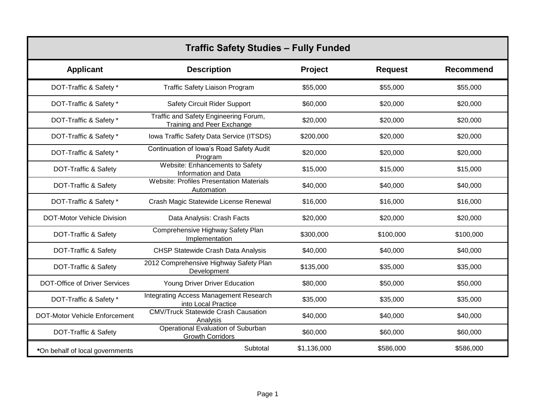| <b>Traffic Safety Studies - Fully Funded</b> |                                                                            |             |                |                  |  |  |
|----------------------------------------------|----------------------------------------------------------------------------|-------------|----------------|------------------|--|--|
| <b>Applicant</b>                             | <b>Description</b>                                                         | Project     | <b>Request</b> | <b>Recommend</b> |  |  |
| DOT-Traffic & Safety *                       | <b>Traffic Safety Liaison Program</b>                                      | \$55,000    | \$55,000       | \$55,000         |  |  |
| DOT-Traffic & Safety *                       | <b>Safety Circuit Rider Support</b>                                        | \$60,000    | \$20,000       | \$20,000         |  |  |
| DOT-Traffic & Safety *                       | Traffic and Safety Engineering Forum,<br><b>Training and Peer Exchange</b> | \$20,000    | \$20,000       | \$20,000         |  |  |
| DOT-Traffic & Safety *                       | Iowa Traffic Safety Data Service (ITSDS)                                   | \$200,000   | \$20,000       | \$20,000         |  |  |
| DOT-Traffic & Safety *                       | Continuation of Iowa's Road Safety Audit<br>Program                        | \$20,000    | \$20,000       | \$20,000         |  |  |
| DOT-Traffic & Safety                         | Website: Enhancements to Safety<br>Information and Data                    | \$15,000    | \$15,000       | \$15,000         |  |  |
| DOT-Traffic & Safety                         | <b>Website: Profiles Presentation Materials</b><br>Automation              | \$40,000    | \$40,000       | \$40,000         |  |  |
| DOT-Traffic & Safety *                       | Crash Magic Statewide License Renewal                                      | \$16,000    | \$16,000       | \$16,000         |  |  |
| <b>DOT-Motor Vehicle Division</b>            | Data Analysis: Crash Facts                                                 | \$20,000    | \$20,000       | \$20,000         |  |  |
| DOT-Traffic & Safety                         | Comprehensive Highway Safety Plan<br>Implementation                        | \$300,000   | \$100,000      | \$100,000        |  |  |
| DOT-Traffic & Safety                         | <b>CHSP Statewide Crash Data Analysis</b>                                  | \$40,000    | \$40,000       | \$40,000         |  |  |
| DOT-Traffic & Safety                         | 2012 Comprehensive Highway Safety Plan<br><b>Development</b>               | \$135,000   | \$35,000       | \$35,000         |  |  |
| <b>DOT-Office of Driver Services</b>         | Young Driver Driver Education                                              | \$80,000    | \$50,000       | \$50,000         |  |  |
| DOT-Traffic & Safety *                       | Integrating Access Management Research<br>into Local Practice              | \$35,000    | \$35,000       | \$35,000         |  |  |
| <b>DOT-Motor Vehicle Enforcement</b>         | <b>CMV/Truck Statewide Crash Causation</b><br>Analysis                     | \$40,000    | \$40,000       | \$40,000         |  |  |
| DOT-Traffic & Safety                         | Operational Evaluation of Suburban<br><b>Growth Corridors</b>              | \$60,000    | \$60,000       | \$60,000         |  |  |
| *On behalf of local governments              | Subtotal                                                                   | \$1,136,000 | \$586,000      | \$586,000        |  |  |